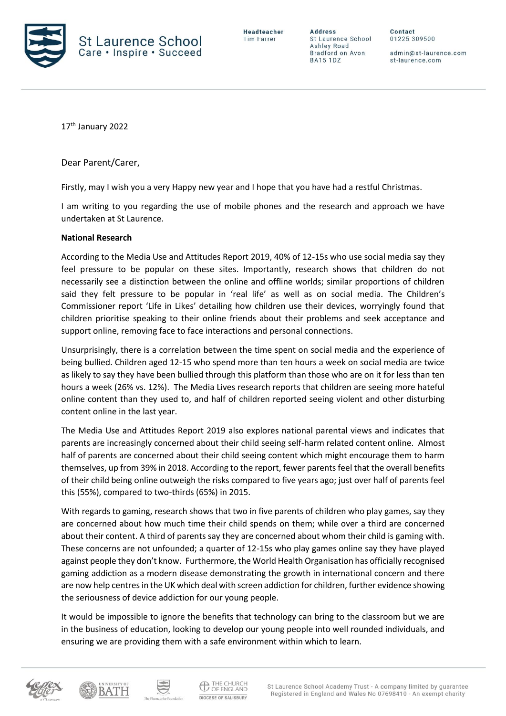

Headteacher **Tim Farrer** 

**Address** St Laurence School Ashley Road Bradford on Avon **BA15 1DZ** 

Contact 01225 309500

admin@st-laurence.com st-laurence.com

17<sup>th</sup> January 2022

Dear Parent/Carer,

Firstly, may I wish you a very Happy new year and I hope that you have had a restful Christmas.

I am writing to you regarding the use of mobile phones and the research and approach we have undertaken at St Laurence.

## **National Research**

According to the Media Use and Attitudes Report 2019, 40% of 12-15s who use social media say they feel pressure to be popular on these sites. Importantly, research shows that children do not necessarily see a distinction between the online and offline worlds; similar proportions of children said they felt pressure to be popular in 'real life' as well as on social media. The Children's Commissioner report 'Life in Likes' detailing how children use their devices, worryingly found that children prioritise speaking to their online friends about their problems and seek acceptance and support online, removing face to face interactions and personal connections.

Unsurprisingly, there is a correlation between the time spent on social media and the experience of being bullied. Children aged 12-15 who spend more than ten hours a week on social media are twice as likely to say they have been bullied through this platform than those who are on it for less than ten hours a week (26% vs. 12%). The Media Lives research reports that children are seeing more hateful online content than they used to, and half of children reported seeing violent and other disturbing content online in the last year.

The Media Use and Attitudes Report 2019 also explores national parental views and indicates that parents are increasingly concerned about their child seeing self-harm related content online. Almost half of parents are concerned about their child seeing content which might encourage them to harm themselves, up from 39% in 2018. According to the report, fewer parents feel that the overall benefits of their child being online outweigh the risks compared to five years ago; just over half of parents feel this (55%), compared to two-thirds (65%) in 2015.

With regards to gaming, research shows that two in five parents of children who play games, say they are concerned about how much time their child spends on them; while over a third are concerned about their content. A third of parents say they are concerned about whom their child is gaming with. These concerns are not unfounded; a quarter of 12-15s who play games online say they have played against people they don't know. Furthermore, the World Health Organisation has officially recognised gaming addiction as a modern disease demonstrating the growth in international concern and there are now help centres in the UK which deal with screen addiction for children, further evidence showing the seriousness of device addiction for our young people.

It would be impossible to ignore the benefits that technology can bring to the classroom but we are in the business of education, looking to develop our young people into well rounded individuals, and ensuring we are providing them with a safe environment within which to learn.





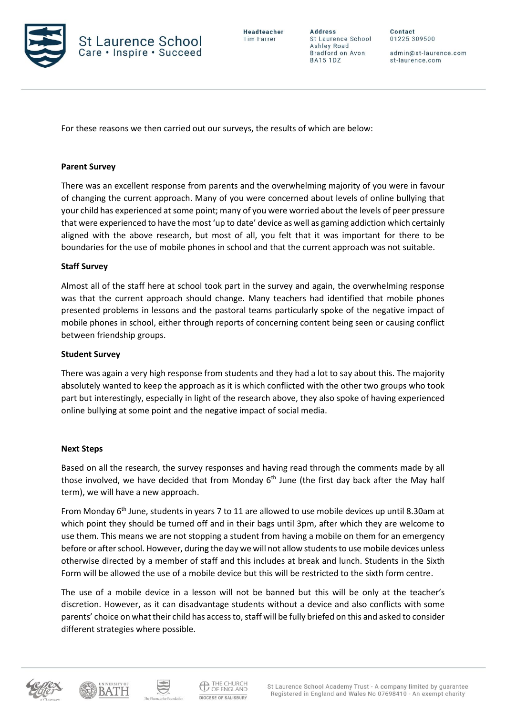

Headteacher **Tim Farrer** 

**Address** St Laurence School Ashley Road Bradford on Avon **BA15 1DZ** 

Contact 01225 309500

admin@st-laurence.com st-laurence.com

For these reasons we then carried out our surveys, the results of which are below:

# **Parent Survey**

There was an excellent response from parents and the overwhelming majority of you were in favour of changing the current approach. Many of you were concerned about levels of online bullying that your child has experienced at some point; many of you were worried about the levels of peer pressure that were experienced to have the most 'up to date' device as well as gaming addiction which certainly aligned with the above research, but most of all, you felt that it was important for there to be boundaries for the use of mobile phones in school and that the current approach was not suitable.

## **Staff Survey**

Almost all of the staff here at school took part in the survey and again, the overwhelming response was that the current approach should change. Many teachers had identified that mobile phones presented problems in lessons and the pastoral teams particularly spoke of the negative impact of mobile phones in school, either through reports of concerning content being seen or causing conflict between friendship groups.

## **Student Survey**

There was again a very high response from students and they had a lot to say about this. The majority absolutely wanted to keep the approach as it is which conflicted with the other two groups who took part but interestingly, especially in light of the research above, they also spoke of having experienced online bullying at some point and the negative impact of social media.

## **Next Steps**

Based on all the research, the survey responses and having read through the comments made by all those involved, we have decided that from Monday  $6<sup>th</sup>$  June (the first day back after the May half term), we will have a new approach.

From Monday 6<sup>th</sup> June, students in years 7 to 11 are allowed to use mobile devices up until 8.30am at which point they should be turned off and in their bags until 3pm, after which they are welcome to use them. This means we are not stopping a student from having a mobile on them for an emergency before or after school. However, during the day we will not allow students to use mobile devices unless otherwise directed by a member of staff and this includes at break and lunch. Students in the Sixth Form will be allowed the use of a mobile device but this will be restricted to the sixth form centre.

The use of a mobile device in a lesson will not be banned but this will be only at the teacher's discretion. However, as it can disadvantage students without a device and also conflicts with some parents' choice on what their child has access to, staff will be fully briefed on this and asked to consider different strategies where possible.